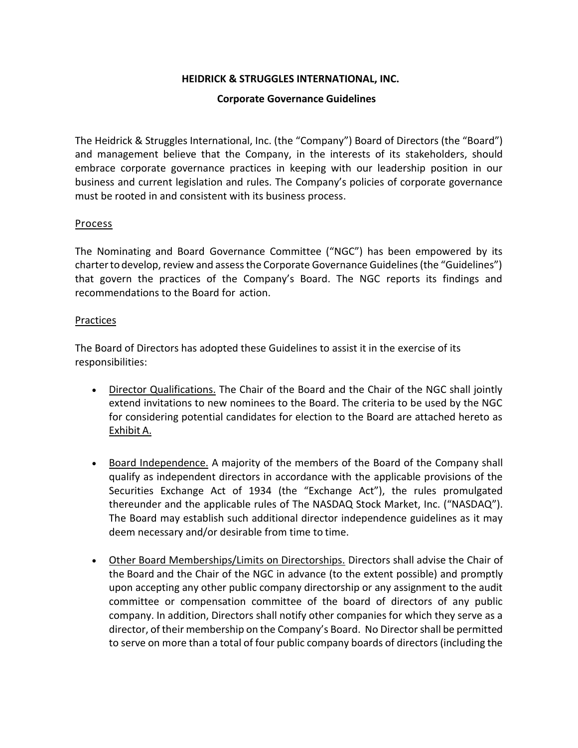## **HEIDRICK & STRUGGLES INTERNATIONAL, INC.**

### **Corporate Governance Guidelines**

The Heidrick & Struggles International, Inc. (the "Company") Board of Directors (the "Board") and management believe that the Company, in the interests of its stakeholders, should embrace corporate governance practices in keeping with our leadership position in our business and current legislation and rules. The Company's policies of corporate governance must be rooted in and consistent with its business process.

### Process

The Nominating and Board Governance Committee ("NGC") has been empowered by its charterto develop, review and assess the Corporate Governance Guidelines (the "Guidelines") that govern the practices of the Company's Board. The NGC reports its findings and recommendations to the Board for action.

### Practices

The Board of Directors has adopted these Guidelines to assist it in the exercise of its responsibilities:

- Director Qualifications. The Chair of the Board and the Chair of the NGC shall jointly extend invitations to new nominees to the Board. The criteria to be used by the NGC for considering potential candidates for election to the Board are attached hereto as Exhibit A.
- Board Independence. A majority of the members of the Board of the Company shall qualify as independent directors in accordance with the applicable provisions of the Securities Exchange Act of 1934 (the "Exchange Act"), the rules promulgated thereunder and the applicable rules of The NASDAQ Stock Market, Inc. ("NASDAQ"). The Board may establish such additional director independence guidelines as it may deem necessary and/or desirable from time to time.
- Other Board Memberships/Limits on Directorships. Directors shall advise the Chair of the Board and the Chair of the NGC in advance (to the extent possible) and promptly upon accepting any other public company directorship or any assignment to the audit committee or compensation committee of the board of directors of any public company. In addition, Directors shall notify other companies for which they serve as a director, of their membership on the Company's Board. No Director shall be permitted to serve on more than a total of four public company boards of directors (including the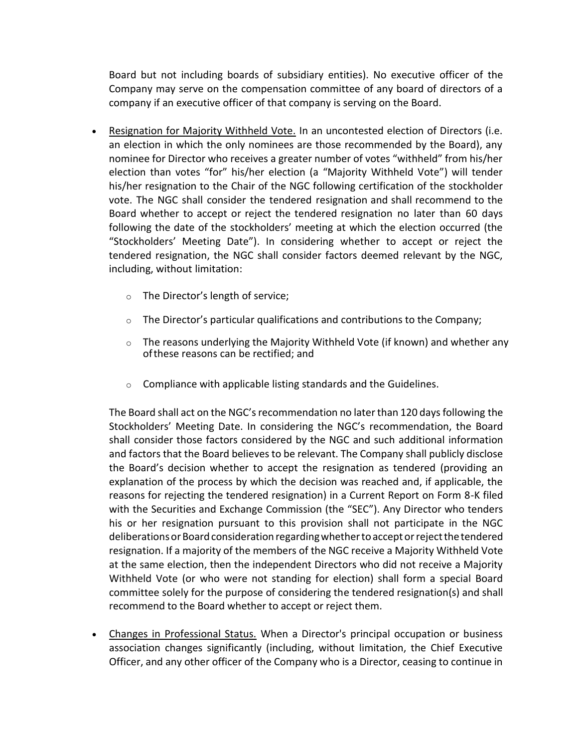Board but not including boards of subsidiary entities). No executive officer of the Company may serve on the compensation committee of any board of directors of a company if an executive officer of that company is serving on the Board.

- Resignation for Majority Withheld Vote. In an uncontested election of Directors (i.e. an election in which the only nominees are those recommended by the Board), any nominee for Director who receives a greater number of votes "withheld" from his/her election than votes "for" his/her election (a "Majority Withheld Vote") will tender his/her resignation to the Chair of the NGC following certification of the stockholder vote. The NGC shall consider the tendered resignation and shall recommend to the Board whether to accept or reject the tendered resignation no later than 60 days following the date of the stockholders' meeting at which the election occurred (the "Stockholders' Meeting Date"). In considering whether to accept or reject the tendered resignation, the NGC shall consider factors deemed relevant by the NGC, including, without limitation:
	- o The Director's length of service;
	- $\circ$  The Director's particular qualifications and contributions to the Company;
	- o The reasons underlying the Majority Withheld Vote (if known) and whether any ofthese reasons can be rectified; and
	- o Compliance with applicable listing standards and the Guidelines.

The Board shall act on the NGC's recommendation no later than 120 days following the Stockholders' Meeting Date. In considering the NGC's recommendation, the Board shall consider those factors considered by the NGC and such additional information and factors that the Board believes to be relevant. The Company shall publicly disclose the Board's decision whether to accept the resignation as tendered (providing an explanation of the process by which the decision was reached and, if applicable, the reasons for rejecting the tendered resignation) in a Current Report on Form 8-K filed with the Securities and Exchange Commission (the "SEC"). Any Director who tenders his or her resignation pursuant to this provision shall not participate in the NGC deliberations or Board consideration regarding whether to accept or reject the tendered resignation. If a majority of the members of the NGC receive a Majority Withheld Vote at the same election, then the independent Directors who did not receive a Majority Withheld Vote (or who were not standing for election) shall form a special Board committee solely for the purpose of considering the tendered resignation(s) and shall recommend to the Board whether to accept or reject them.

• Changes in Professional Status. When a Director's principal occupation or business association changes significantly (including, without limitation, the Chief Executive Officer, and any other officer of the Company who is a Director, ceasing to continue in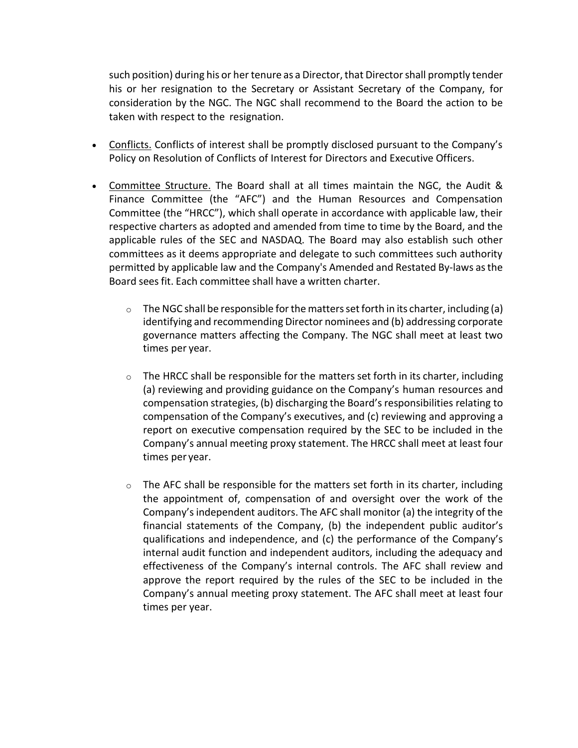such position) during his or her tenure as a Director, that Director shall promptly tender his or her resignation to the Secretary or Assistant Secretary of the Company, for consideration by the NGC. The NGC shall recommend to the Board the action to be taken with respect to the resignation.

- Conflicts. Conflicts of interest shall be promptly disclosed pursuant to the Company's Policy on Resolution of Conflicts of Interest for Directors and Executive Officers.
- Committee Structure. The Board shall at all times maintain the NGC, the Audit & Finance Committee (the "AFC") and the Human Resources and Compensation Committee (the "HRCC"), which shall operate in accordance with applicable law, their respective charters as adopted and amended from time to time by the Board, and the applicable rules of the SEC and NASDAQ. The Board may also establish such other committees as it deems appropriate and delegate to such committees such authority permitted by applicable law and the Company's Amended and Restated By-laws asthe Board seesfit. Each committee shall have a written charter.
	- $\circ$  The NGC shall be responsible for the matters set forth in its charter, including (a) identifying and recommending Director nominees and (b) addressing corporate governance matters affecting the Company. The NGC shall meet at least two times per year.
	- $\circ$  The HRCC shall be responsible for the matters set forth in its charter, including (a) reviewing and providing guidance on the Company's human resources and compensation strategies, (b) discharging the Board'sresponsibilities relating to compensation of the Company's executives, and (c) reviewing and approving a report on executive compensation required by the SEC to be included in the Company's annual meeting proxy statement. The HRCC shall meet at least four times per year.
	- $\circ$  The AFC shall be responsible for the matters set forth in its charter, including the appointment of, compensation of and oversight over the work of the Company's independent auditors. The AFC shall monitor (a) the integrity of the financial statements of the Company, (b) the independent public auditor's qualifications and independence, and (c) the performance of the Company's internal audit function and independent auditors, including the adequacy and effectiveness of the Company's internal controls. The AFC shall review and approve the report required by the rules of the SEC to be included in the Company's annual meeting proxy statement. The AFC shall meet at least four times per year.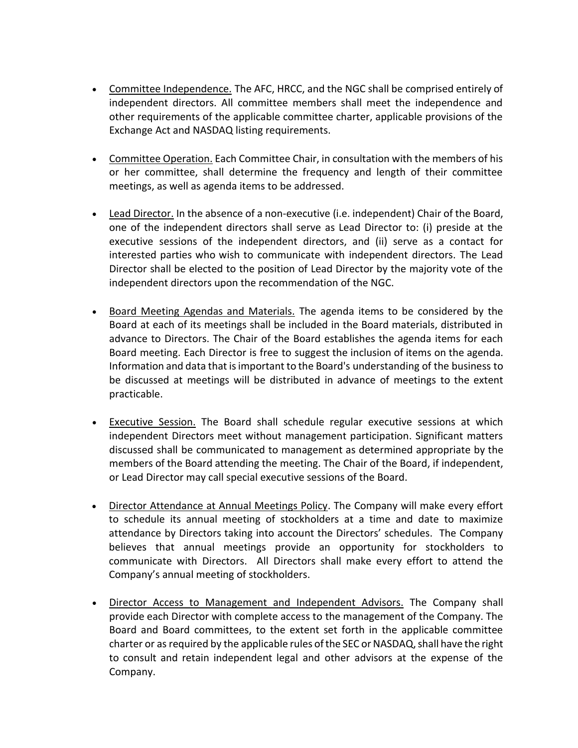- Committee Independence. The AFC, HRCC, and the NGC shall be comprised entirely of independent directors. All committee members shall meet the independence and other requirements of the applicable committee charter, applicable provisions of the Exchange Act and NASDAQ listing requirements.
- Committee Operation. Each Committee Chair, in consultation with the members of his or her committee, shall determine the frequency and length of their committee meetings, as well as agenda items to be addressed.
- Lead Director. In the absence of a non-executive (i.e. independent) Chair of the Board, one of the independent directors shall serve as Lead Director to: (i) preside at the executive sessions of the independent directors, and (ii) serve as a contact for interested parties who wish to communicate with independent directors. The Lead Director shall be elected to the position of Lead Director by the majority vote of the independent directors upon the recommendation of the NGC.
- Board Meeting Agendas and Materials. The agenda items to be considered by the Board at each of its meetings shall be included in the Board materials, distributed in advance to Directors. The Chair of the Board establishes the agenda items for each Board meeting. Each Director is free to suggest the inclusion of items on the agenda. Information and data that isimportant to the Board's understanding of the business to be discussed at meetings will be distributed in advance of meetings to the extent practicable.
- Executive Session. The Board shall schedule regular executive sessions at which independent Directors meet without management participation. Significant matters discussed shall be communicated to management as determined appropriate by the members of the Board attending the meeting. The Chair of the Board, if independent, or Lead Director may call special executive sessions of the Board.
- Director Attendance at Annual Meetings Policy. The Company will make every effort to schedule its annual meeting of stockholders at a time and date to maximize attendance by Directors taking into account the Directors' schedules. The Company believes that annual meetings provide an opportunity for stockholders to communicate with Directors. All Directors shall make every effort to attend the Company's annual meeting of stockholders.
- Director Access to Management and Independent Advisors. The Company shall provide each Director with complete access to the management of the Company. The Board and Board committees, to the extent set forth in the applicable committee charter or as required by the applicable rules of the SEC or NASDAQ, shall have the right to consult and retain independent legal and other advisors at the expense of the Company.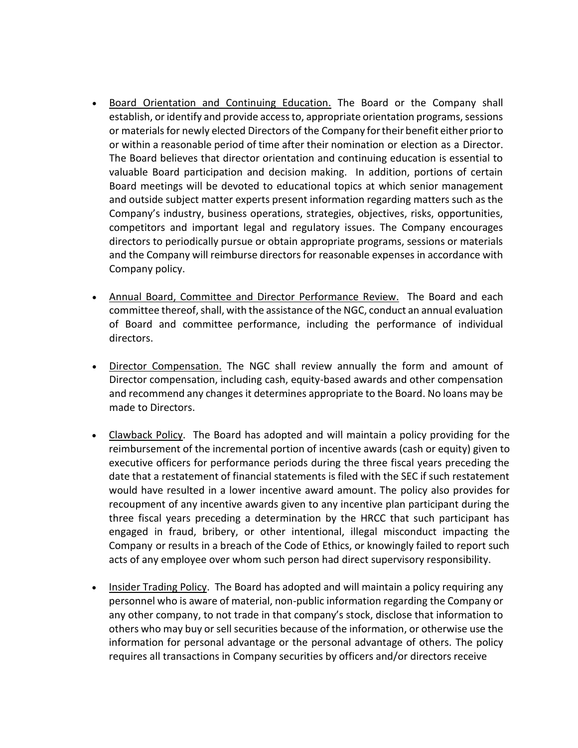- Board Orientation and Continuing Education. The Board or the Company shall establish, or identify and provide access to, appropriate orientation programs, sessions or materials for newly elected Directors of the Company fortheir benefit either priorto or within a reasonable period of time after their nomination or election as a Director. The Board believes that director orientation and continuing education is essential to valuable Board participation and decision making. In addition, portions of certain Board meetings will be devoted to educational topics at which senior management and outside subject matter experts present information regarding matters such as the Company's industry, business operations, strategies, objectives, risks, opportunities, competitors and important legal and regulatory issues. The Company encourages directors to periodically pursue or obtain appropriate programs, sessions or materials and the Company will reimburse directors for reasonable expenses in accordance with Company policy.
- Annual Board, Committee and Director Performance Review. The Board and each committee thereof, shall, with the assistance of the NGC, conduct an annual evaluation of Board and committee performance, including the performance of individual directors.
- Director Compensation. The NGC shall review annually the form and amount of Director compensation, including cash, equity-based awards and other compensation and recommend any changes it determines appropriate to the Board. No loans may be made to Directors.
- Clawback Policy. The Board has adopted and will maintain a policy providing for the reimbursement of the incremental portion of incentive awards (cash or equity) given to executive officers for performance periods during the three fiscal years preceding the date that a restatement of financial statements is filed with the SEC if such restatement would have resulted in a lower incentive award amount. The policy also provides for recoupment of any incentive awards given to any incentive plan participant during the three fiscal years preceding a determination by the HRCC that such participant has engaged in fraud, bribery, or other intentional, illegal misconduct impacting the Company or results in a breach of the Code of Ethics, or knowingly failed to report such acts of any employee over whom such person had direct supervisory responsibility.
- Insider Trading Policy. The Board has adopted and will maintain a policy requiring any personnel who is aware of material, non-public information regarding the Company or any other company, to not trade in that company's stock, disclose that information to others who may buy or sell securities because of the information, or otherwise use the information for personal advantage or the personal advantage of others. The policy requires all transactions in Company securities by officers and/or directors receive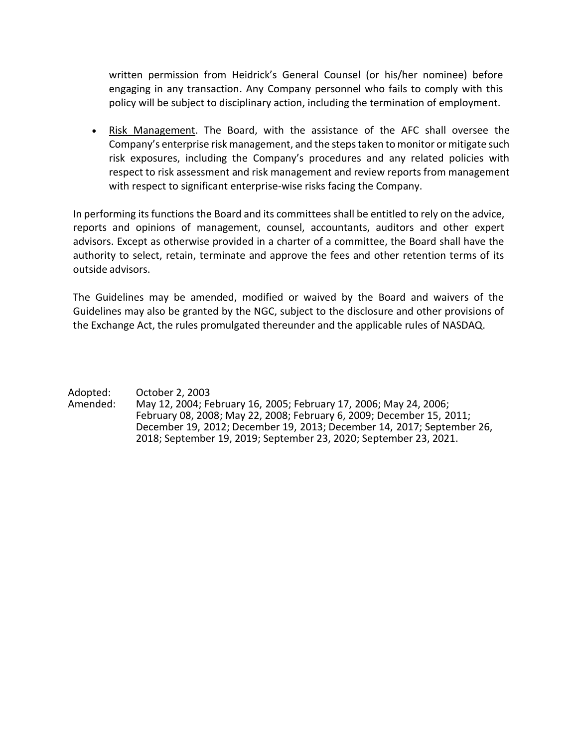written permission from Heidrick's General Counsel (or his/her nominee) before engaging in any transaction. Any Company personnel who fails to comply with this policy will be subject to disciplinary action, including the termination of employment.

• Risk Management. The Board, with the assistance of the AFC shall oversee the Company's enterprise risk management, and the steps taken to monitor or mitigate such risk exposures, including the Company's procedures and any related policies with respect to risk assessment and risk management and review reports from management with respect to significant enterprise-wise risks facing the Company.

In performing its functions the Board and its committees shall be entitled to rely on the advice, reports and opinions of management, counsel, accountants, auditors and other expert advisors. Except as otherwise provided in a charter of a committee, the Board shall have the authority to select, retain, terminate and approve the fees and other retention terms of its outside advisors.

The Guidelines may be amended, modified or waived by the Board and waivers of the Guidelines may also be granted by the NGC, subject to the disclosure and other provisions of the Exchange Act, the rules promulgated thereunder and the applicable rules of NASDAQ.

Adopted: October 2, 2003<br>Amended: May 12, 2004; Fe May 12, 2004; February 16, 2005; February 17, 2006; May 24, 2006; February 08, 2008; May 22, 2008; February 6, 2009; December 15, 2011; December 19, 2012; December 19, 2013; December 14, 2017; September 26, 2018; September 19, 2019; September 23, 2020; September 23, 2021.